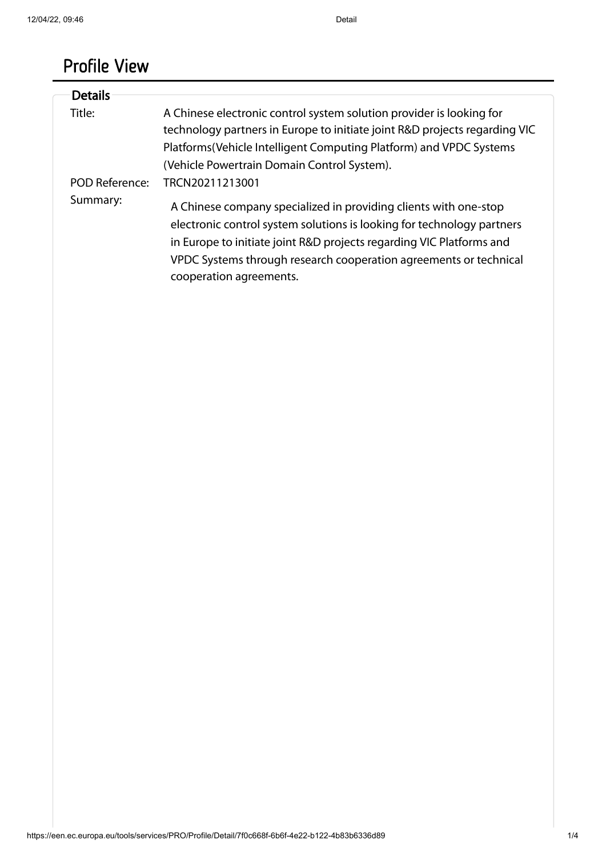# Profile View

| <b>Details</b> |                                                                                                                                                                                                                                                                                                                    |
|----------------|--------------------------------------------------------------------------------------------------------------------------------------------------------------------------------------------------------------------------------------------------------------------------------------------------------------------|
|                |                                                                                                                                                                                                                                                                                                                    |
| Title:         | A Chinese electronic control system solution provider is looking for                                                                                                                                                                                                                                               |
|                | technology partners in Europe to initiate joint R&D projects regarding VIC                                                                                                                                                                                                                                         |
|                | Platforms (Vehicle Intelligent Computing Platform) and VPDC Systems                                                                                                                                                                                                                                                |
|                | (Vehicle Powertrain Domain Control System).                                                                                                                                                                                                                                                                        |
| POD Reference: | TRCN20211213001                                                                                                                                                                                                                                                                                                    |
| Summary:       | A Chinese company specialized in providing clients with one-stop<br>electronic control system solutions is looking for technology partners<br>in Europe to initiate joint R&D projects regarding VIC Platforms and<br>VPDC Systems through research cooperation agreements or technical<br>cooperation agreements. |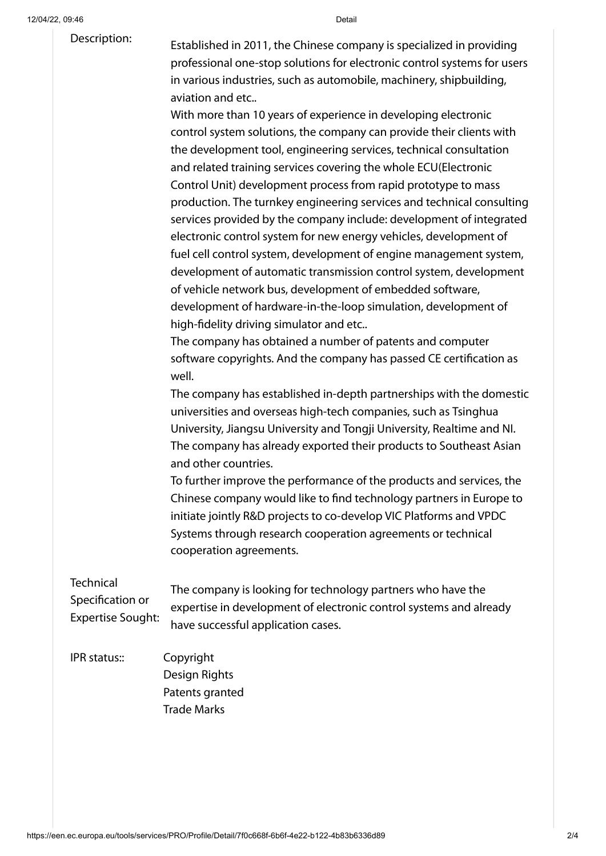### Description:

Established in 2011, the Chinese company is specialized in providing professional one-stop solutions for electronic control systems for users in various industries, such as automobile, machinery, shipbuilding, aviation and etc..

With more than 10 years of experience in developing electronic control system solutions, the company can provide their clients with the development tool, engineering services, technical consultation and related training services covering the whole ECU(Electronic Control Unit) development process from rapid prototype to mass production. The turnkey engineering services and technical consulting services provided by the company include: development of integrated electronic control system for new energy vehicles, development of fuel cell control system, development of engine management system, development of automatic transmission control system, development of vehicle network bus, development of embedded software, development of hardware-in-the-loop simulation, development of high-fidelity driving simulator and etc..

The company has obtained a number of patents and computer software copyrights. And the company has passed CE certification as well.

The company has established in-depth partnerships with the domestic universities and overseas high-tech companies, such as Tsinghua University, Jiangsu University and Tongji University, Realtime and NI. The company has already exported their products to Southeast Asian and other countries.

To further improve the performance of the products and services, the Chinese company would like to find technology partners in Europe to initiate jointly R&D projects to co-develop VIC Platforms and VPDC Systems through research cooperation agreements or technical cooperation agreements.

**Technical** Specification or Expertise Sought:

The company is looking for technology partners who have the expertise in development of electronic control systems and already have successful application cases.

IPR status:: Copyright Design Rights Patents granted Trade Marks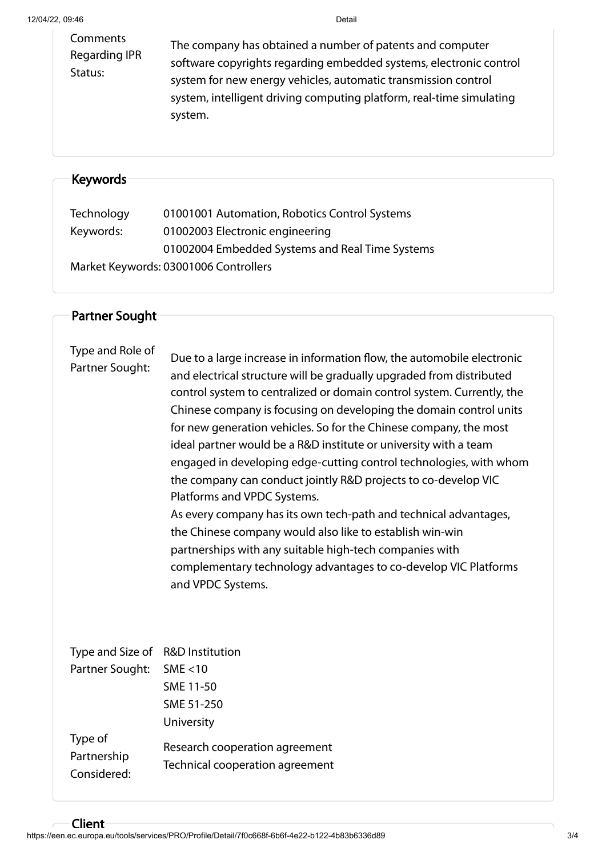Comments Regarding IPR Status: The company has obtained a number of patents and computer software copyrights regarding embedded systems, electronic control system for new energy vehicles, automatic transmission control system, intelligent driving computing platform, real-time simulating system.

## Keywords

| Technology | 01001001 Automation, Robotics Control Systems   |
|------------|-------------------------------------------------|
| Keywords:  | 01002003 Electronic engineering                 |
|            | 01002004 Embedded Systems and Real Time Systems |
|            | Market Keywords: 03001006 Controllers           |

### Partner Sought

| Type and Role of<br>Partner Sought:   | Due to a large increase in information flow, the automobile electronic<br>and electrical structure will be gradually upgraded from distributed<br>control system to centralized or domain control system. Currently, the<br>Chinese company is focusing on developing the domain control units<br>for new generation vehicles. So for the Chinese company, the most<br>ideal partner would be a R&D institute or university with a team<br>engaged in developing edge-cutting control technologies, with whom<br>the company can conduct jointly R&D projects to co-develop VIC<br>Platforms and VPDC Systems.<br>As every company has its own tech-path and technical advantages,<br>the Chinese company would also like to establish win-win<br>partnerships with any suitable high-tech companies with<br>complementary technology advantages to co-develop VIC Platforms<br>and VPDC Systems. |
|---------------------------------------|---------------------------------------------------------------------------------------------------------------------------------------------------------------------------------------------------------------------------------------------------------------------------------------------------------------------------------------------------------------------------------------------------------------------------------------------------------------------------------------------------------------------------------------------------------------------------------------------------------------------------------------------------------------------------------------------------------------------------------------------------------------------------------------------------------------------------------------------------------------------------------------------------|
| Type and Size of<br>Partner Sought:   | <b>R&amp;D Institution</b><br>SME < 10<br>SME 11-50<br>SME 51-250<br>University                                                                                                                                                                                                                                                                                                                                                                                                                                                                                                                                                                                                                                                                                                                                                                                                                   |
| Type of<br>Partnership<br>Considered: | Research cooperation agreement<br>Technical cooperation agreement                                                                                                                                                                                                                                                                                                                                                                                                                                                                                                                                                                                                                                                                                                                                                                                                                                 |